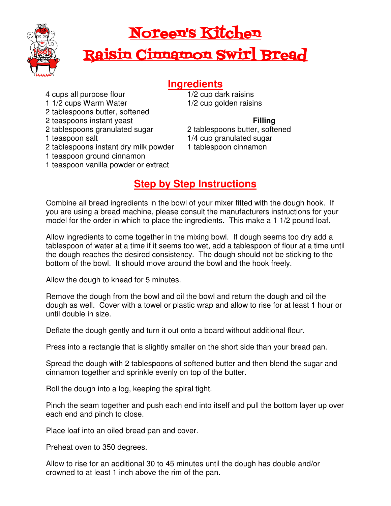

## Noreen's Kitchen

# Raisin Cinnamon Swirl Bread

### **Ingredients**

- 4 cups all purpose flour
- 1 1/2 cups Warm Water
- 2 tablespoons butter, softened
- 2 teaspoons instant yeast
- 2 tablespoons granulated sugar
- 1 teaspoon salt
- 2 tablespoons instant dry milk powder
- 1 teaspoon ground cinnamon
- 1 teaspoon vanilla powder or extract

1/2 cup dark raisins 1/2 cup golden raisins

#### **Filling**

2 tablespoons butter, softened 1/4 cup granulated sugar 1 tablespoon cinnamon

### **Step by Step Instructions**

Combine all bread ingredients in the bowl of your mixer fitted with the dough hook. If you are using a bread machine, please consult the manufacturers instructions for your model for the order in which to place the ingredients. This make a 1 1/2 pound loaf.

Allow ingredients to come together in the mixing bowl. If dough seems too dry add a tablespoon of water at a time if it seems too wet, add a tablespoon of flour at a time until the dough reaches the desired consistency. The dough should not be sticking to the bottom of the bowl. It should move around the bowl and the hook freely.

Allow the dough to knead for 5 minutes.

Remove the dough from the bowl and oil the bowl and return the dough and oil the dough as well. Cover with a towel or plastic wrap and allow to rise for at least 1 hour or until double in size.

Deflate the dough gently and turn it out onto a board without additional flour.

Press into a rectangle that is slightly smaller on the short side than your bread pan.

Spread the dough with 2 tablespoons of softened butter and then blend the sugar and cinnamon together and sprinkle evenly on top of the butter.

Roll the dough into a log, keeping the spiral tight.

Pinch the seam together and push each end into itself and pull the bottom layer up over each end and pinch to close.

Place loaf into an oiled bread pan and cover.

Preheat oven to 350 degrees.

Allow to rise for an additional 30 to 45 minutes until the dough has double and/or crowned to at least 1 inch above the rim of the pan.